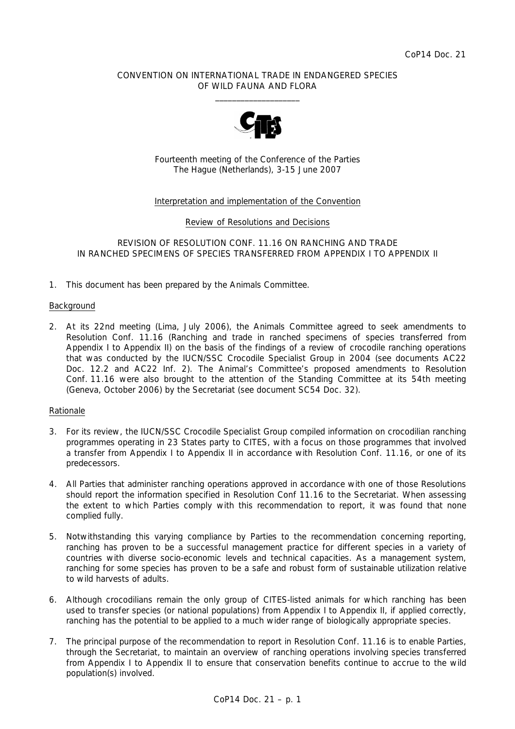## CONVENTION ON INTERNATIONAL TRADE IN ENDANGERED SPECIES OF WILD FAUNA AND FLORA  $\frac{1}{2}$  , and the set of the set of the set of the set of the set of the set of the set of the set of the set of the set of the set of the set of the set of the set of the set of the set of the set of the set of the set



Fourteenth meeting of the Conference of the Parties The Hague (Netherlands), 3-15 June 2007

## Interpretation and implementation of the Convention

Review of Resolutions and Decisions

## REVISION OF RESOLUTION CONF. 11.16 ON RANCHING AND TRADE IN RANCHED SPECIMENS OF SPECIES TRANSFERRED FROM APPENDIX I TO APPENDIX II

1. This document has been prepared by the Animals Committee.

#### **Background**

2. At its 22nd meeting (Lima, July 2006), the Animals Committee agreed to seek amendments to Resolution Conf. 11.16 (Ranching and trade in ranched specimens of species transferred from Appendix I to Appendix II) on the basis of the findings of a review of crocodile ranching operations that was conducted by the IUCN/SSC Crocodile Specialist Group in 2004 (see documents AC22 Doc. 12.2 and AC22 Inf. 2). The Animal's Committee's proposed amendments to Resolution Conf. 11.16 were also brought to the attention of the Standing Committee at its 54th meeting (Geneva, October 2006) by the Secretariat (see document SC54 Doc. 32).

## Rationale

- 3. For its review, the IUCN/SSC Crocodile Specialist Group compiled information on crocodilian ranching programmes operating in 23 States party to CITES, with a focus on those programmes that involved a transfer from Appendix I to Appendix II in accordance with Resolution Conf. 11.16, or one of its predecessors.
- 4. All Parties that administer ranching operations approved in accordance with one of those Resolutions should report the information specified in Resolution Conf 11.16 to the Secretariat. When assessing the extent to which Parties comply with this recommendation to report, it was found that none complied fully.
- 5. Notwithstanding this varying compliance by Parties to the recommendation concerning reporting, ranching has proven to be a successful management practice for different species in a variety of countries with diverse socio-economic levels and technical capacities. As a management system, ranching for some species has proven to be a safe and robust form of sustainable utilization relative to wild harvests of adults.
- 6. Although crocodilians remain the only group of CITES-listed animals for which ranching has been used to transfer species (or national populations) from Appendix I to Appendix II, if applied correctly, ranching has the potential to be applied to a much wider range of biologically appropriate species.
- 7. The principal purpose of the recommendation to report in Resolution Conf. 11.16 is to enable Parties, through the Secretariat, to maintain an overview of ranching operations involving species transferred from Appendix I to Appendix II to ensure that conservation benefits continue to accrue to the wild population(s) involved.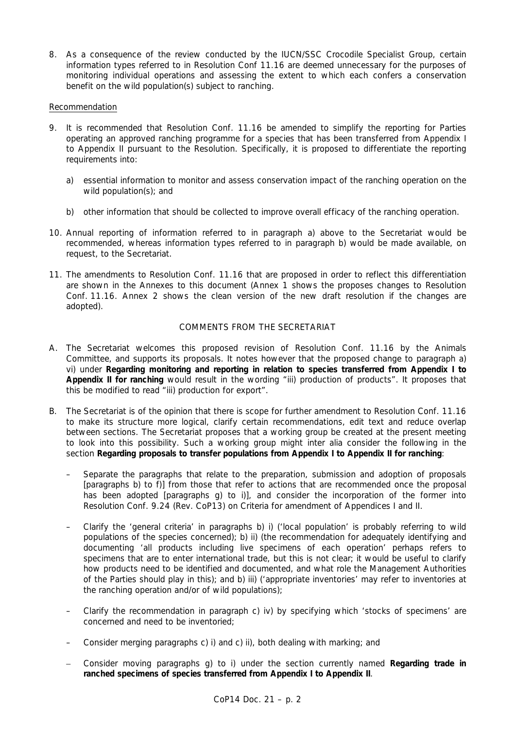8. As a consequence of the review conducted by the IUCN/SSC Crocodile Specialist Group, certain information types referred to in Resolution Conf 11.16 are deemed unnecessary for the purposes of monitoring individual operations and assessing the extent to which each confers a conservation benefit on the wild population(s) subject to ranching.

## Recommendation

- 9. It is recommended that Resolution Conf. 11.16 be amended to simplify the reporting for Parties operating an approved ranching programme for a species that has been transferred from Appendix I to Appendix II pursuant to the Resolution. Specifically, it is proposed to differentiate the reporting requirements into:
	- a) essential information to monitor and assess conservation impact of the ranching operation on the wild population(s); and
	- b) other information that should be collected to improve overall efficacy of the ranching operation.
- 10. Annual reporting of information referred to in paragraph a) above to the Secretariat would be recommended, whereas information types referred to in paragraph b) would be made available, on request, to the Secretariat.
- 11. The amendments to Resolution Conf. 11.16 that are proposed in order to reflect this differentiation are shown in the Annexes to this document (Annex 1 shows the proposes changes to Resolution Conf. 11.16. Annex 2 shows the clean version of the new draft resolution if the changes are adopted).

# COMMENTS FROM THE SECRETARIAT

- A. The Secretariat welcomes this proposed revision of Resolution Conf. 11.16 by the Animals Committee, and supports its proposals. It notes however that the proposed change to paragraph a) vi) under *Regarding monitoring and reporting in relation to species transferred from Appendix I to Appendix II for ranching* would result in the wording "iii) production of products". It proposes that this be modified to read "iii) production for export".
- B. The Secretariat is of the opinion that there is scope for further amendment to Resolution Conf. 11.16 to make its structure more logical, clarify certain recommendations, edit text and reduce overlap between sections. The Secretariat proposes that a working group be created at the present meeting to look into this possibility. Such a working group might *inter alia* consider the following in the section *Regarding proposals to transfer populations from Appendix I to Appendix II for ranching*:
	- Separate the paragraphs that relate to the preparation, submission and adoption of proposals [paragraphs b) to f)] from those that refer to actions that are recommended once the proposal has been adopted [paragraphs g) to i)], and consider the incorporation of the former into Resolution Conf. 9.24 (Rev. CoP13) on Criteria for amendment of Appendices I and II.
	- Clarify the 'general criteria' in paragraphs b) i) ('local population' is probably referring to wild populations of the species concerned); b) ii) (the recommendation for adequately identifying and documenting 'all products including live specimens of each operation' perhaps refers to specimens that are to enter international trade, but this is not clear; it would be useful to clarify how products need to be identified and documented, and what role the Management Authorities of the Parties should play in this); and b) iii) ('appropriate inventories' may refer to inventories at the ranching operation and/or of wild populations);
	- Clarify the recommendation in paragraph c) iv) by specifying which 'stocks of specimens' are concerned and need to be inventoried;
	- Consider merging paragraphs c) i) and c) ii), both dealing with marking; and
	- Consider moving paragraphs g) to i) under the section currently named *Regarding trade in ranched specimens of species transferred from Appendix I to Appendix II*.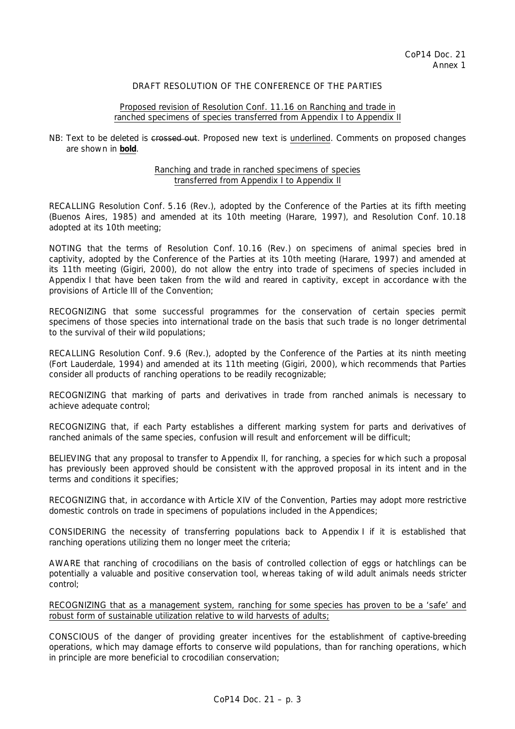## DRAFT RESOLUTION OF THE CONFERENCE OF THE PARTIES

### Proposed revision of Resolution Conf. 11.16 on Ranching and trade in ranched specimens of species transferred from Appendix I to Appendix II

## NB: Text to be deleted is crossed out. Proposed new text is underlined. Comments on proposed changes are shown in **bold**.

### Ranching and trade in ranched specimens of species transferred from Appendix I to Appendix II

RECALLING Resolution Conf. 5.16 (Rev.), adopted by the Conference of the Parties at its fifth meeting (Buenos Aires, 1985) and amended at its 10th meeting (Harare, 1997), and Resolution Conf. 10.18 adopted at its 10th meeting;

NOTING that the terms of Resolution Conf. 10.16 (Rev.) on specimens of animal species bred in captivity, adopted by the Conference of the Parties at its 10th meeting (Harare, 1997) and amended at its 11th meeting (Gigiri, 2000), do not allow the entry into trade of specimens of species included in Appendix I that have been taken from the wild and reared in captivity, except in accordance with the provisions of Article III of the Convention;

RECOGNIZING that some successful programmes for the conservation of certain species permit specimens of those species into international trade on the basis that such trade is no longer detrimental to the survival of their wild populations;

RECALLING Resolution Conf. 9.6 (Rev.), adopted by the Conference of the Parties at its ninth meeting (Fort Lauderdale, 1994) and amended at its 11th meeting (Gigiri, 2000), which recommends that Parties consider all products of ranching operations to be readily recognizable;

RECOGNIZING that marking of parts and derivatives in trade from ranched animals is necessary to achieve adequate control;

RECOGNIZING that, if each Party establishes a different marking system for parts and derivatives of ranched animals of the same species, confusion will result and enforcement will be difficult;

BELIEVING that any proposal to transfer to Appendix II, for ranching, a species for which such a proposal has previously been approved should be consistent with the approved proposal in its intent and in the terms and conditions it specifies;

RECOGNIZING that, in accordance with Article XIV of the Convention, Parties may adopt more restrictive domestic controls on trade in specimens of populations included in the Appendices;

CONSIDERING the necessity of transferring populations back to Appendix I if it is established that ranching operations utilizing them no longer meet the criteria;

AWARE that ranching of crocodilians on the basis of controlled collection of eggs or hatchlings can be potentially a valuable and positive conservation tool, whereas taking of wild adult animals needs stricter control;

RECOGNIZING that as a management system, ranching for some species has proven to be a 'safe' and robust form of sustainable utilization relative to wild harvests of adults;

CONSCIOUS of the danger of providing greater incentives for the establishment of captive-breeding operations, which may damage efforts to conserve wild populations, than for ranching operations, which in principle are more beneficial to crocodilian conservation;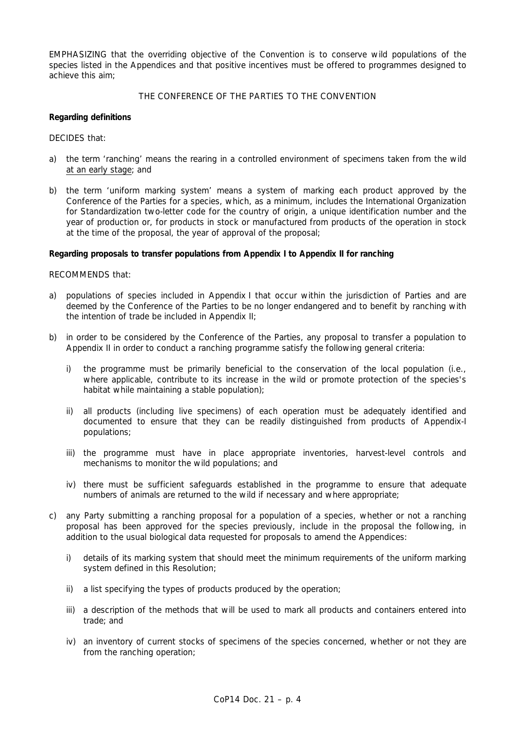EMPHASIZING that the overriding objective of the Convention is to conserve wild populations of the species listed in the Appendices and that positive incentives must be offered to programmes designed to achieve this aim;

## THE CONFERENCE OF THE PARTIES TO THE CONVENTION

## *Regarding definitions*

DECIDES that:

- a) the term 'ranching' means the rearing in a controlled environment of specimens taken from the wild at an early stage; and
- b) the term 'uniform marking system' means a system of marking each product approved by the Conference of the Parties for a species, which, as a minimum, includes the International Organization for Standardization two-letter code for the country of origin, a unique identification number and the year of production or, for products in stock or manufactured from products of the operation in stock at the time of the proposal, the year of approval of the proposal;

## *Regarding proposals to transfer populations from Appendix I to Appendix II for ranching*

RECOMMENDS that:

- a) populations of species included in Appendix I that occur within the jurisdiction of Parties and are deemed by the Conference of the Parties to be no longer endangered and to benefit by ranching with the intention of trade be included in Appendix II;
- b) in order to be considered by the Conference of the Parties, any proposal to transfer a population to Appendix II in order to conduct a ranching programme satisfy the following general criteria:
	- i) the programme must be primarily beneficial to the conservation of the local population (i.e., where applicable, contribute to its increase in the wild or promote protection of the species's habitat while maintaining a stable population);
	- ii) all products (including live specimens) of each operation must be adequately identified and documented to ensure that they can be readily distinguished from products of Appendix-I populations;
	- iii) the programme must have in place appropriate inventories, harvest-level controls and mechanisms to monitor the wild populations; and
	- iv) there must be sufficient safeguards established in the programme to ensure that adequate numbers of animals are returned to the wild if necessary and where appropriate;
- c) any Party submitting a ranching proposal for a population of a species, whether or not a ranching proposal has been approved for the species previously, include in the proposal the following, in addition to the usual biological data requested for proposals to amend the Appendices:
	- i) details of its marking system that should meet the minimum requirements of the uniform marking system defined in this Resolution;
	- ii) a list specifying the types of products produced by the operation;
	- iii) a description of the methods that will be used to mark all products and containers entered into trade; and
	- iv) an inventory of current stocks of specimens of the species concerned, whether or not they are from the ranching operation;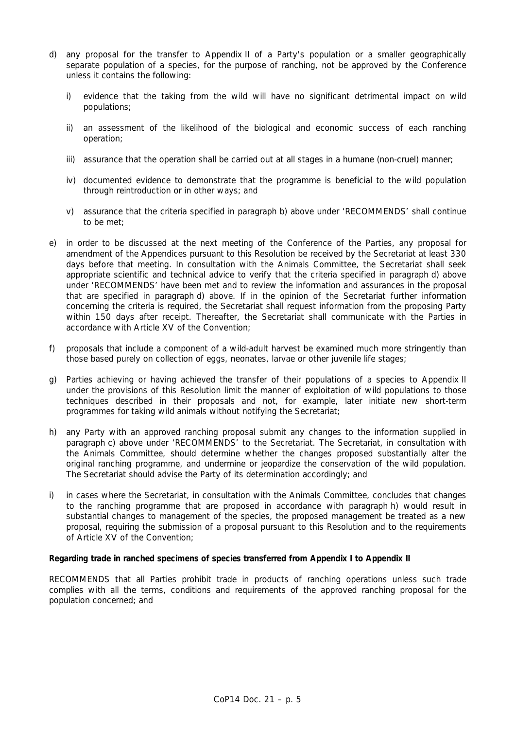- d) any proposal for the transfer to Appendix II of a Party's population or a smaller geographically separate population of a species, for the purpose of ranching, not be approved by the Conference unless it contains the following:
	- i) evidence that the taking from the wild will have no significant detrimental impact on wild populations;
	- ii) an assessment of the likelihood of the biological and economic success of each ranching operation;
	- iii) assurance that the operation shall be carried out at all stages in a humane (non-cruel) manner;
	- iv) documented evidence to demonstrate that the programme is beneficial to the wild population through reintroduction or in other ways; and
	- v) assurance that the criteria specified in paragraph b) above under 'RECOMMENDS' shall continue to be met;
- e) in order to be discussed at the next meeting of the Conference of the Parties, any proposal for amendment of the Appendices pursuant to this Resolution be received by the Secretariat at least 330 days before that meeting. In consultation with the Animals Committee, the Secretariat shall seek appropriate scientific and technical advice to verify that the criteria specified in paragraph d) above under 'RECOMMENDS' have been met and to review the information and assurances in the proposal that are specified in paragraph d) above. If in the opinion of the Secretariat further information concerning the criteria is required, the Secretariat shall request information from the proposing Party within 150 days after receipt. Thereafter, the Secretariat shall communicate with the Parties in accordance with Article XV of the Convention;
- f) proposals that include a component of a wild-adult harvest be examined much more stringently than those based purely on collection of eggs, neonates, larvae or other juvenile life stages;
- g) Parties achieving or having achieved the transfer of their populations of a species to Appendix II under the provisions of this Resolution limit the manner of exploitation of wild populations to those techniques described in their proposals and not, for example, later initiate new short-term programmes for taking wild animals without notifying the Secretariat;
- h) any Party with an approved ranching proposal submit any changes to the information supplied in paragraph c) above under 'RECOMMENDS' to the Secretariat. The Secretariat, in consultation with the Animals Committee, should determine whether the changes proposed substantially alter the original ranching programme, and undermine or jeopardize the conservation of the wild population. The Secretariat should advise the Party of its determination accordingly; and
- i) in cases where the Secretariat, in consultation with the Animals Committee, concludes that changes to the ranching programme that are proposed in accordance with paragraph h) would result in substantial changes to management of the species, the proposed management be treated as a new proposal, requiring the submission of a proposal pursuant to this Resolution and to the requirements of Article XV of the Convention;

#### *Regarding trade in ranched specimens of species transferred from Appendix I to Appendix II*

RECOMMENDS that all Parties prohibit trade in products of ranching operations unless such trade complies with all the terms, conditions and requirements of the approved ranching proposal for the population concerned; and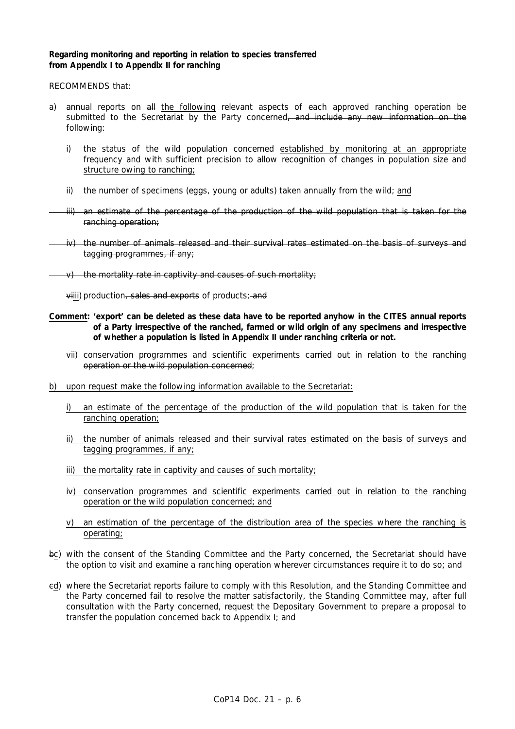### *Regarding monitoring and reporting in relation to species transferred from Appendix I to Appendix II for ranching*

RECOMMENDS that:

- a) annual reports on all the following relevant aspects of each approved ranching operation be submitted to the Secretariat by the Party concerned, and include any new information on the following:
	- i) the status of the wild population concerned established by monitoring at an appropriate frequency and with sufficient precision to allow recognition of changes in population size and structure owing to ranching;
	- ii) the number of specimens (eggs, young or adults) taken annually from the wild; and
	- iii) an estimate of the percentage of the production of the wild population that is taken for the ranching operation;
	- iv) the number of animals released and their survival rates estimated on the basis of surveys and tagging programmes, if any;
- $\vee$  the mortality rate in captivity and causes of such mortality;

viiii) production, sales and exports of products; and

- **Comment: 'export' can be deleted as these data have to be reported anyhow in the CITES annual reports of a Party irrespective of the ranched, farmed or wild origin of any specimens and irrespective of whether a population is listed in Appendix II under ranching criteria or not.**
- vii) conservation programmes and scientific experiments carried out in relation to the ranching operation or the wild population concerned;
- b) upon request make the following information available to the Secretariat:
	- i) an estimate of the percentage of the production of the wild population that is taken for the ranching operation;
	- ii) the number of animals released and their survival rates estimated on the basis of surveys and tagging programmes, if any;
	- iii) the mortality rate in captivity and causes of such mortality;
	- iv) conservation programmes and scientific experiments carried out in relation to the ranching operation or the wild population concerned; and
	- v) an estimation of the percentage of the distribution area of the species where the ranching is operating;
- bc) with the consent of the Standing Committee and the Party concerned, the Secretariat should have the option to visit and examine a ranching operation wherever circumstances require it to do so; and
- cd) where the Secretariat reports failure to comply with this Resolution, and the Standing Committee and the Party concerned fail to resolve the matter satisfactorily, the Standing Committee may, after full consultation with the Party concerned, request the Depositary Government to prepare a proposal to transfer the population concerned back to Appendix I; and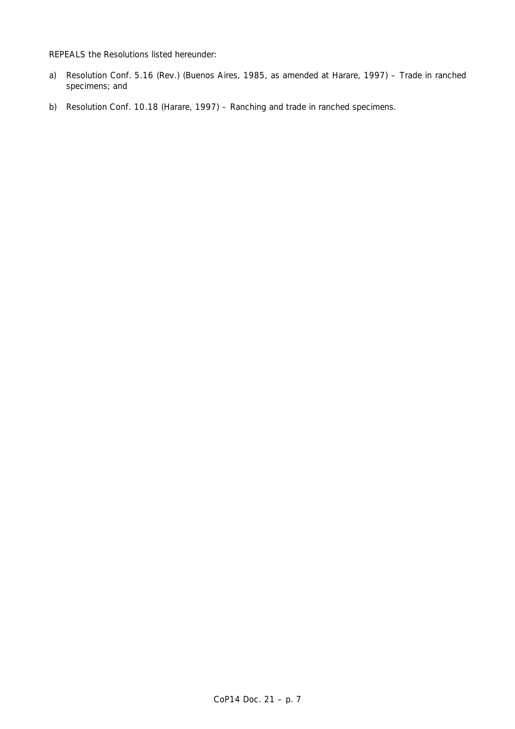REPEALS the Resolutions listed hereunder:

- a) Resolution Conf. 5.16 (Rev.) (Buenos Aires, 1985, as amended at Harare, 1997) Trade in ranched specimens; and
- b) Resolution Conf. 10.18 (Harare, 1997) Ranching and trade in ranched specimens.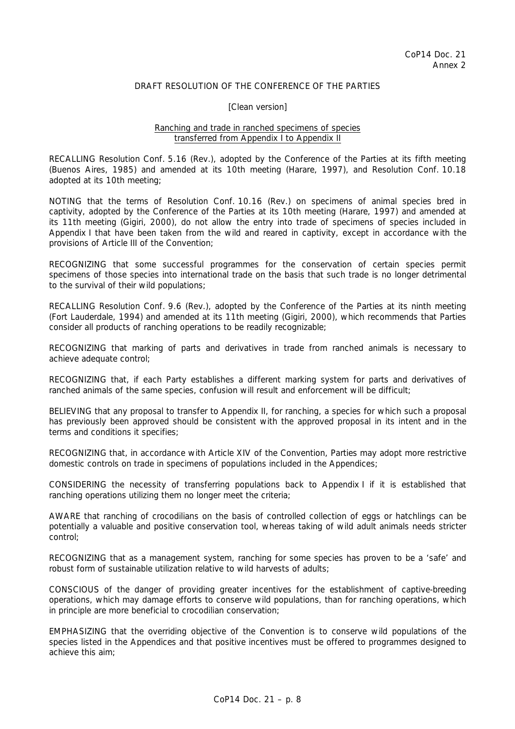## DRAFT RESOLUTION OF THE CONFERENCE OF THE PARTIES

#### [Clean version]

## Ranching and trade in ranched specimens of species transferred from Appendix I to Appendix II

RECALLING Resolution Conf. 5.16 (Rev.), adopted by the Conference of the Parties at its fifth meeting (Buenos Aires, 1985) and amended at its 10th meeting (Harare, 1997), and Resolution Conf. 10.18 adopted at its 10th meeting;

NOTING that the terms of Resolution Conf. 10.16 (Rev.) on specimens of animal species bred in captivity, adopted by the Conference of the Parties at its 10th meeting (Harare, 1997) and amended at its 11th meeting (Gigiri, 2000), do not allow the entry into trade of specimens of species included in Appendix I that have been taken from the wild and reared in captivity, except in accordance with the provisions of Article III of the Convention;

RECOGNIZING that some successful programmes for the conservation of certain species permit specimens of those species into international trade on the basis that such trade is no longer detrimental to the survival of their wild populations;

RECALLING Resolution Conf. 9.6 (Rev.), adopted by the Conference of the Parties at its ninth meeting (Fort Lauderdale, 1994) and amended at its 11th meeting (Gigiri, 2000), which recommends that Parties consider all products of ranching operations to be readily recognizable;

RECOGNIZING that marking of parts and derivatives in trade from ranched animals is necessary to achieve adequate control;

RECOGNIZING that, if each Party establishes a different marking system for parts and derivatives of ranched animals of the same species, confusion will result and enforcement will be difficult;

BELIEVING that any proposal to transfer to Appendix II, for ranching, a species for which such a proposal has previously been approved should be consistent with the approved proposal in its intent and in the terms and conditions it specifies;

RECOGNIZING that, in accordance with Article XIV of the Convention, Parties may adopt more restrictive domestic controls on trade in specimens of populations included in the Appendices;

CONSIDERING the necessity of transferring populations back to Appendix I if it is established that ranching operations utilizing them no longer meet the criteria;

AWARE that ranching of crocodilians on the basis of controlled collection of eggs or hatchlings can be potentially a valuable and positive conservation tool, whereas taking of wild adult animals needs stricter control;

RECOGNIZING that as a management system, ranching for some species has proven to be a 'safe' and robust form of sustainable utilization relative to wild harvests of adults;

CONSCIOUS of the danger of providing greater incentives for the establishment of captive-breeding operations, which may damage efforts to conserve wild populations, than for ranching operations, which in principle are more beneficial to crocodilian conservation;

EMPHASIZING that the overriding objective of the Convention is to conserve wild populations of the species listed in the Appendices and that positive incentives must be offered to programmes designed to achieve this aim;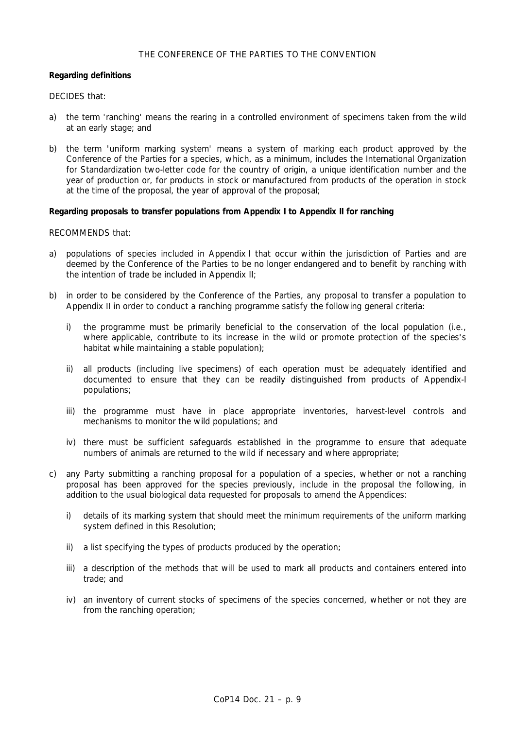## THE CONFERENCE OF THE PARTIES TO THE CONVENTION

## *Regarding definitions*

## DECIDES that:

- a) the term 'ranching' means the rearing in a controlled environment of specimens taken from the wild at an early stage; and
- b) the term 'uniform marking system' means a system of marking each product approved by the Conference of the Parties for a species, which, as a minimum, includes the International Organization for Standardization two-letter code for the country of origin, a unique identification number and the year of production or, for products in stock or manufactured from products of the operation in stock at the time of the proposal, the year of approval of the proposal;

## *Regarding proposals to transfer populations from Appendix I to Appendix II for ranching*

## RECOMMENDS that:

- a) populations of species included in Appendix I that occur within the jurisdiction of Parties and are deemed by the Conference of the Parties to be no longer endangered and to benefit by ranching with the intention of trade be included in Appendix II;
- b) in order to be considered by the Conference of the Parties, any proposal to transfer a population to Appendix II in order to conduct a ranching programme satisfy the following general criteria:
	- i) the programme must be primarily beneficial to the conservation of the local population (i.e., where applicable, contribute to its increase in the wild or promote protection of the species's habitat while maintaining a stable population);
	- ii) all products (including live specimens) of each operation must be adequately identified and documented to ensure that they can be readily distinguished from products of Appendix-I populations;
	- iii) the programme must have in place appropriate inventories, harvest-level controls and mechanisms to monitor the wild populations; and
	- iv) there must be sufficient safeguards established in the programme to ensure that adequate numbers of animals are returned to the wild if necessary and where appropriate;
- c) any Party submitting a ranching proposal for a population of a species, whether or not a ranching proposal has been approved for the species previously, include in the proposal the following, in addition to the usual biological data requested for proposals to amend the Appendices:
	- i) details of its marking system that should meet the minimum requirements of the uniform marking system defined in this Resolution;
	- ii) a list specifying the types of products produced by the operation;
	- iii) a description of the methods that will be used to mark all products and containers entered into trade; and
	- iv) an inventory of current stocks of specimens of the species concerned, whether or not they are from the ranching operation;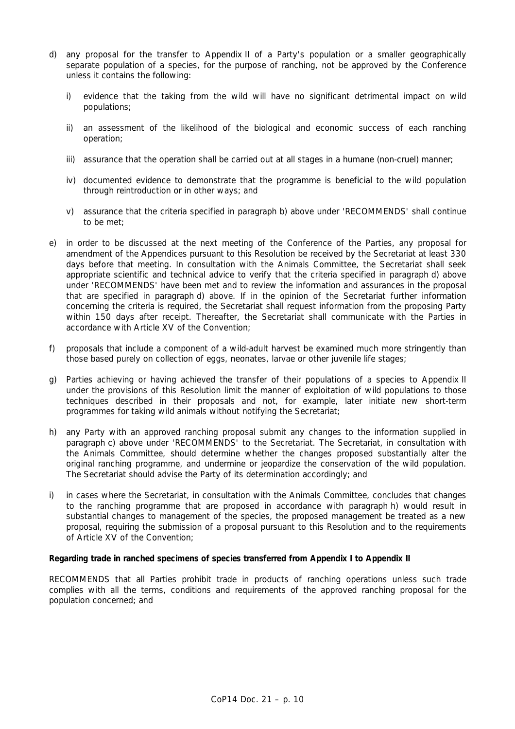- d) any proposal for the transfer to Appendix II of a Party's population or a smaller geographically separate population of a species, for the purpose of ranching, not be approved by the Conference unless it contains the following:
	- i) evidence that the taking from the wild will have no significant detrimental impact on wild populations;
	- ii) an assessment of the likelihood of the biological and economic success of each ranching operation;
	- iii) assurance that the operation shall be carried out at all stages in a humane (non-cruel) manner;
	- iv) documented evidence to demonstrate that the programme is beneficial to the wild population through reintroduction or in other ways; and
	- v) assurance that the criteria specified in paragraph b) above under 'RECOMMENDS' shall continue to be met;
- e) in order to be discussed at the next meeting of the Conference of the Parties, any proposal for amendment of the Appendices pursuant to this Resolution be received by the Secretariat at least 330 days before that meeting. In consultation with the Animals Committee, the Secretariat shall seek appropriate scientific and technical advice to verify that the criteria specified in paragraph d) above under 'RECOMMENDS' have been met and to review the information and assurances in the proposal that are specified in paragraph d) above. If in the opinion of the Secretariat further information concerning the criteria is required, the Secretariat shall request information from the proposing Party within 150 days after receipt. Thereafter, the Secretariat shall communicate with the Parties in accordance with Article XV of the Convention;
- f) proposals that include a component of a wild-adult harvest be examined much more stringently than those based purely on collection of eggs, neonates, larvae or other juvenile life stages;
- g) Parties achieving or having achieved the transfer of their populations of a species to Appendix II under the provisions of this Resolution limit the manner of exploitation of wild populations to those techniques described in their proposals and not, for example, later initiate new short-term programmes for taking wild animals without notifying the Secretariat;
- h) any Party with an approved ranching proposal submit any changes to the information supplied in paragraph c) above under 'RECOMMENDS' to the Secretariat. The Secretariat, in consultation with the Animals Committee, should determine whether the changes proposed substantially alter the original ranching programme, and undermine or jeopardize the conservation of the wild population. The Secretariat should advise the Party of its determination accordingly; and
- i) in cases where the Secretariat, in consultation with the Animals Committee, concludes that changes to the ranching programme that are proposed in accordance with paragraph h) would result in substantial changes to management of the species, the proposed management be treated as a new proposal, requiring the submission of a proposal pursuant to this Resolution and to the requirements of Article XV of the Convention;

#### *Regarding trade in ranched specimens of species transferred from Appendix I to Appendix II*

RECOMMENDS that all Parties prohibit trade in products of ranching operations unless such trade complies with all the terms, conditions and requirements of the approved ranching proposal for the population concerned; and